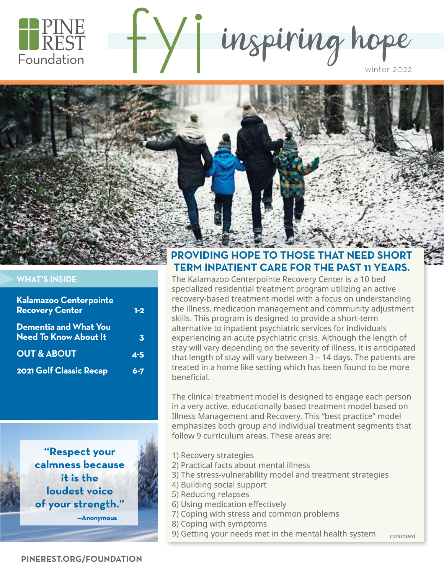

inspiring hope



#### **WHAT'S INSIDE**

| Kalamazoo Centerpointe<br><b>Recovery Center</b>      | $1-2$   |
|-------------------------------------------------------|---------|
| Dementia and What You<br><b>Need To Know About It</b> | 3.      |
| <b>OUT &amp; ABOUT</b>                                | $4 - 5$ |
| <b>2021 Golf Classic Recap</b>                        | 6-7     |

**"Respect your calmness because it is the loudest voice of your strength."**

**—Anonymous**

#### **PROVIDING HOPE TO THOSE THAT NEED SHORT TERM INPATIENT CARE FOR THE PAST 11 YEARS.**

The Kalamazoo Centerpointe Recovery Center is a 10 bed specialized residential treatment program utilizing an active recovery-based treatment model with a focus on understanding the illness, medication management and community adjustment skills. This program is designed to provide a short-term alternative to inpatient psychiatric services for individuals experiencing an acute psychiatric crisis. Although the length of stay will vary depending on the severity of illness, it is anticipated that length of stay will vary between 3 – 14 days. The patients are treated in a home like setting which has been found to be more beneficial.

The clinical treatment model is designed to engage each person in a very active, educationally based treatment model based on Illness Management and Recovery. This "best practice" model emphasizes both group and individual treatment segments that follow 9 curriculum areas. These areas are:

- 1) Recovery strategies
- 2) Practical facts about mental illness
- 3) The stress-vulnerability model and treatment strategies
- 4) Building social support
- 5) Reducing relapses
- 6) Using medication effectively
- 7) Coping with stress and common problems
- 8) Coping with symptoms
- *continued* 9) Getting your needs met in the mental health system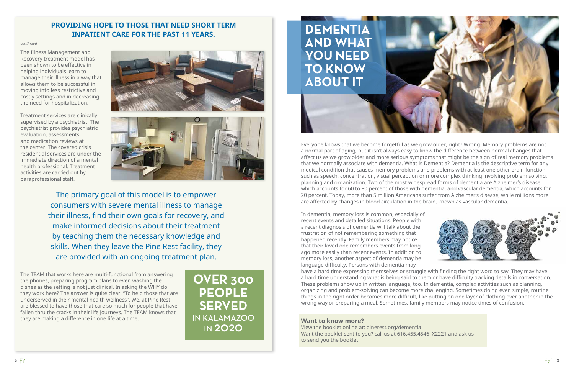The Illness Management and Recovery treatment model has been shown to be effective in helping individuals learn to manage their illness in a way that allows them to be successful in moving into less restrictive and costly settings and in decreasing the need for hospitalization.

Treatment services are clinically supervised by a psychiatrist. The psychiatrist provides psychiatric evaluation, assessments, and medication reviews at the center. The covered crisis residential services are under the immediate direction of a mental health professional. Treatment activities are carried out by paraprofessional staff.





The primary goal of this model is to empower consumers with severe mental illness to manage their illness, find their own goals for recovery, and make informed decisions about their treatment by teaching them the necessary knowledge and skills. When they leave the Pine Rest facility, they are provided with an ongoing treatment plan.

The TEAM that works here are multi-functional from answering the phones, preparing program plans to even washing the dishes as the setting is not just clinical. In asking the WHY do they work here? The answer is quite clear, "To help those that are underserved in their mental health wellness". We, at Pine Rest are blessed to have those that care so much for people that have fallen thru the cracks in their life journeys. The TEAM knows that they are making a difference in one life at a time.

#### **PROVIDING HOPE TO THOSE THAT NEED SHORT TERM INPATIENT CARE FOR THE PAST 11 YEARS.**

#### *continued*

Everyone knows that we become forgetful as we grow older, right? Wrong. Memory problems are not a normal part of aging, but it isn't always easy to know the difference between normal changes that affect us as we grow older and more serious symptoms that might be the sign of real memory problems that we normally associate with dementia. What is Dementia? Dementia is the descriptive term for any medical condition that causes memory problems and problems with at least one other brain function, such as speech, concentration, visual perception or more complex thinking involving problem solving, planning and organization. Two of the most widespread forms of dementia are Alzheimer's disease, which accounts for 60 to 80 percent of those with dementia, and vascular dementia, which accounts for 20 percent. Today, more than 5 million Americans suffer from Alzheimer's disease, while millions more are affected by changes in blood circulation in the brain, known as vascular dementia.

In dementia, memory loss is common, especially of recent events and detailed situations. People with a recent diagnosis of dementia will talk about the frustration of not remembering something that happened recently. Family members may notice that their loved one remembers events from long ago more easily than recent events. In addition to memory loss, another aspect of dementia may be language difficulty. Persons with dementia may have a hard time expressing themselves or struggle with finding the right word to say. They may have a hard time understanding what is being said to them or have difficulty tracking details in conversation. These problems show up in written language, too. In dementia, complex activities such as planning, organizing and problem-solving can become more challenging. Sometimes doing even simple, routine things in the right order becomes more difficult, like putting on one layer of clothing over another in the wrong way or preparing a meal. Sometimes, family members may notice times of confusion.

# **DEMENTIA AND WHAT YOU NEED TO KNOW ABOUT IT**

#### **Want to know more?**

View the booklet online at: pinerest.org/dementia Want the booklet sent to you? call us at 616.455.4546 X2221 and ask us to send you the booklet.





**OVER 300 PEOPLE SERVED**  IN KALAMAZOO IN 2020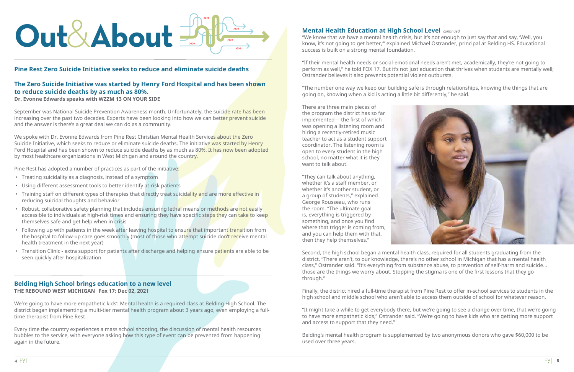# **Out**& **About**

#### **Pine Rest Zero Suicide Initiative seeks to reduce and eliminate suicide deaths**

#### **The Zero Suicide Initiative was started by Henry Ford Hospital and has been shown to reduce suicide deaths by as much as 80%.**

**Dr. Evonne Edwards speaks with WZZM 13 ON YOUR SIDE**

September was National Suicide Prevention Awareness month. Unfortunately, the suicide rate has been increasing over the past two decades. Experts have been looking into how we can better prevent suicide and the answer is there's a great deal we can do as a community.

We spoke with Dr. Evonne Edwards from Pine Rest Christian Mental Health Services about the Zero Suicide Initiative, which seeks to reduce or eliminate suicide deaths. The initiative was started by Henry Ford Hospital and has been shown to reduce suicide deaths by as much as 80%. It has now been adopted by most healthcare organizations in West Michigan and around the country.

Pine Rest has adopted a number of practices as part of the initiative:

- Treating suicidality as a diagnosis, instead of a symptom
- Using different assessment tools to better identify at-risk patients
- Training staff on different types of therapies that directly treat suicidality and are more effective in reducing suicidal thoughts and behavior
- Robust, collaborative safety planning that includes ensuring lethal means or methods are not easily accessible to individuals at high-risk times and ensuring they have specific steps they can take to keep themselves safe and get help when in crisis
- Following up with patients in the week after leaving hospital to ensure that important transition from the hospital to follow-up care goes smoothly (most of those who attempt suicide don't receive mental health treatment in the next year)
- Transition Clinic extra support for patients after discharge and helping ensure patients are able to be seen quickly after hospitalization

#### **Belding High School brings education to a new level THE REBOUND WEST MICHIGAN Fox 17: Dec 02, 2021**

We're going to have more empathetic kids': Mental health is a required class at Belding High School. The district began implementing a multi-tier mental health program about 3 years ago, even employing a fulltime therapist from Pine Rest

Every time the country experiences a mass school shooting, the discussion of mental health resources bubbles to the service, with everyone asking how this type of event can be prevented from happening again in the future.

"We know that we have a mental health crisis, but it's not enough to just say that and say, 'Well, you know, it's not going to get better,'" explained Michael Ostrander, principal at Belding HS. Educational success is built on a strong mental foundation.

"If their mental health needs or social-emotional needs aren't met, academically, they're not going to perform as well," he told FOX 17. But it's not just education that thrives when students are mentally well; Ostrander believes it also prevents potential violent outbursts.

"The number one way we keep our building safe is through relationships, knowing the things that are going on, knowing when a kid is acting a little bit differently," he said.

There are three main pieces of the program the district has so far implemented— the first of which was opening a listening room and hiring a recently-retired music teacher to act as a student support coordinator. The listening room is open to every student in the high school, no matter what it is they want to talk about.

#### **Mental Health Education at High School Level**  *continued*

"They can talk about anything, whether it's a staff member, or whether it's another student, or a group of students," explained George Rousseau, who runs the room. "The ultimate goal is, everything is triggered by something, and once you find where that trigger is coming from, and you can help them with that, then they help themselves."



Second, the high school began a mental health class, required for all students graduating from the district. "There aren't, to our knowledge, there's no other school in Michigan that has a mental health class," Ostrander said. "It's everything from substance abuse, to prevention of self-harm and suicide... those are the things we worry about. Stopping the stigma is one of the first lessons that they go through."

Finally, the district hired a full-time therapist from Pine Rest to offer in-school services to students in the high school and middle school who aren't able to access them outside of school for whatever reason.

"It might take a while to get everybody there, but we're going to see a change over time, that we're going to have more empathetic kids," Ostrander said. "We're going to have kids who are getting more support and access to support that they need."

Belding's mental health program is supplemented by two anonymous donors who gave \$60,000 to be used over three years.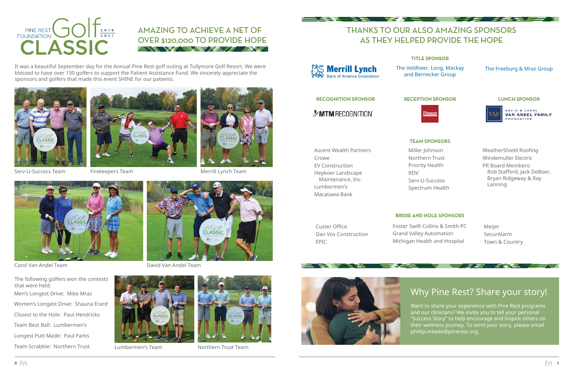## THANKS TO OUR ALSO AMAZING SPONSORS AS THEY HELPED PROVIDE THE HOPE

<del>マングメディメンタ</del>

#### **TITLE SPONSOR**

#### **BIRDIE AND HOLE SPONSORS**

#### **TEAM SPONSORS**

**RECOGNITION SPONSOR RECEPTION SPONSOR LUNCH SPONSOR**

*MIMRECOGNITION* 

Crowe

Ascent Wealth Partners EV Construction Heyboer Landscape Maintenance, Inc. Lumbermen's Macatawa Bank

Custer Office Dan Vos Construction EPIC



#### AMAZING TO ACHIEVE A NET OF OVER \$120,000 TO PROVIDE HOPE 三、圣人文*学人主会 マチ合理家 人生文学*

It was a beautiful September day for the Annual Pine Rest golf outing at Tullymore Golf Resort. We were blessed to have over 130 golfers to support the Patient Assistance Fund. We sincerely appreciate the sponsors and golfers that made this event SHINE for our patients.





The Veldheer, Long, Mackay and Bernecker Group

#### The Freeburg & Mraz Group





Men's Longest Drive: Mike Mraz Women's Longest Drive: Shauna Erard Closest to the Hole: Paul Hendricks Team Best Ball: Lumbermen's Longest Putt Made: Paul Parks Team Scrabble: Northern Trust The following golfers won the contests that were held:







Carol Van Andel Team David Van Andel Team





Lumbermen's Team Northern Trust Team



NYE / VYZKA A



YA EL K

Merrill Lynch Team

## Why Pine Rest? Share your story!

<del>ed 177</del>

Want to share your experience with Pine Rest programs and our clinicians? We invite you to tell your personal "Success Story" to help encourage and inspire others on their wellness journey. To send your story, please email phillip.meade@pinerest.org.

Miller Johnson Northern Trust Priority Health

RDV

Serv-U-Success Spectrum Health

#### WeatherShield Roofing Windemuller Electric

PR Board Members: Rob Stafford, Jack DeBoer, Bryan Ridgeway & Ray Lanning

Foster Swift Collins & Smith PC Grand Valley Automation Michigan Health and Hospital





Meijer SecurAlarm Town & Country

**ATTAL**